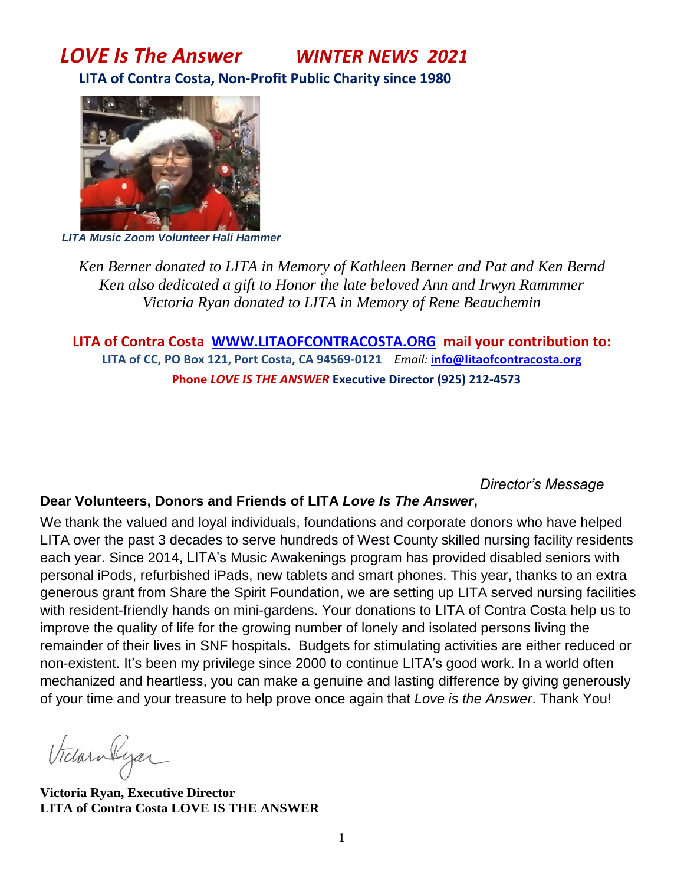### *LOVE Is The Answer WINTER NEWS 2021*  **LITA of Contra Costa, Non-Profit Public Charity since 1980**



 *LITA Music Zoom Volunteer Hali Hammer*

*Ken Berner donated to LITA in Memory of Kathleen Berner and Pat and Ken Bernd Ken also dedicated a gift to Honor the late beloved Ann and Irwyn Rammmer Victoria Ryan donated to LITA in Memory of Rene Beauchemin* 

**LITA of Contra Costa [WWW.LITAOFCONTRACOSTA.ORG](http://www.litaofcontracosta.org/) mail your contribution to: LITA of CC, PO Box 121, Port Costa, CA 94569-0121** *Email:* **[info@litaofcontracosta.org](mailto:info@litaofcontracosta.org) Phone** *LOVE IS THE ANSWER* **Executive Director (925) 212-4573**

#### *Director's Message*

#### **Dear Volunteers, Donors and Friends of LITA** *Love Is The Answer***,**

We thank the valued and loyal individuals, foundations and corporate donors who have helped LITA over the past 3 decades to serve hundreds of West County skilled nursing facility residents each year. Since 2014, LITA's Music Awakenings program has provided disabled seniors with personal iPods, refurbished iPads, new tablets and smart phones. This year, thanks to an extra generous grant from Share the Spirit Foundation, we are setting up LITA served nursing facilities with resident-friendly hands on mini-gardens. Your donations to LITA of Contra Costa help us to improve the quality of life for the growing number of lonely and isolated persons living the remainder of their lives in SNF hospitals. Budgets for stimulating activities are either reduced or non-existent. It's been my privilege since 2000 to continue LITA's good work. In a world often mechanized and heartless, you can make a genuine and lasting difference by giving generously of your time and your treasure to help prove once again that *Love is the Answer*. Thank You!

Victorialyan

**Victoria Ryan, Executive Director LITA of Contra Costa LOVE IS THE ANSWER**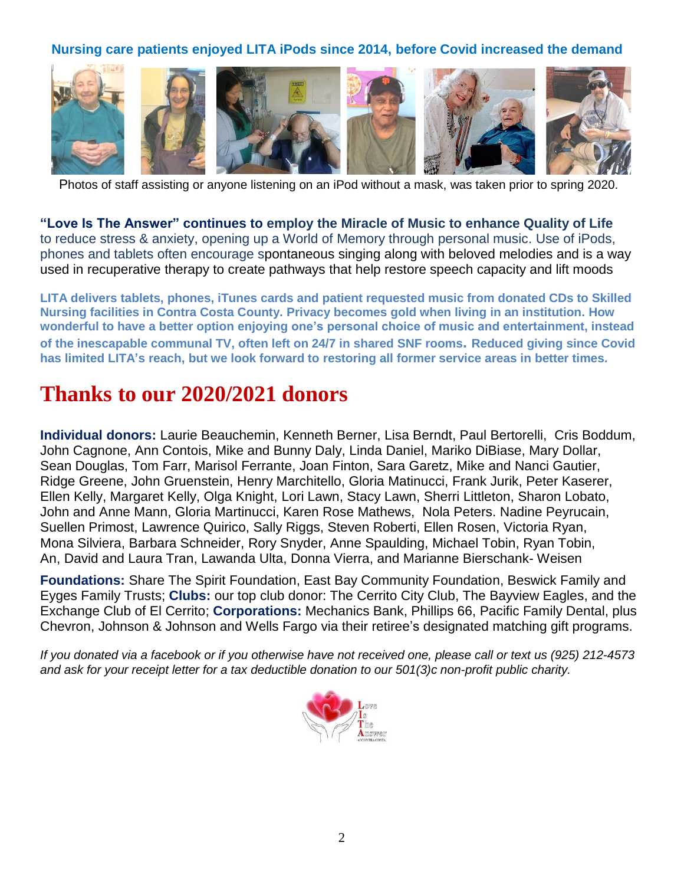#### **Nursing care patients enjoyed LITA iPods since 2014, before Covid increased the demand**



Photos of staff assisting or anyone listening on an iPod without a mask, was taken prior to spring 2020.

**"Love Is The Answer" continues to employ the Miracle of Music to enhance Quality of Life**  to reduce stress & anxiety, opening up a World of Memory through personal music. Use of iPods, phones and tablets often encourage spontaneous singing along with beloved melodies and is a way used in recuperative therapy to create pathways that help restore speech capacity and lift moods

**LITA delivers tablets, phones, iTunes cards and patient requested music from donated CDs to Skilled Nursing facilities in Contra Costa County. Privacy becomes gold when living in an institution. How wonderful to have a better option enjoying one's personal choice of music and entertainment, instead of the inescapable communal TV, often left on 24/7 in shared SNF rooms. Reduced giving since Covid has limited LITA's reach, but we look forward to restoring all former service areas in better times.** 

## **Thanks to our 2020/2021 donors**

**Individual donors:** Laurie Beauchemin, Kenneth Berner, Lisa Berndt, Paul Bertorelli, Cris Boddum, John Cagnone, Ann Contois, Mike and Bunny Daly, Linda Daniel, Mariko DiBiase, Mary Dollar, Sean Douglas, Tom Farr, Marisol Ferrante, Joan Finton, Sara Garetz, Mike and Nanci Gautier, Ridge Greene, John Gruenstein, Henry Marchitello, Gloria Matinucci, Frank Jurik, Peter Kaserer, Ellen Kelly, Margaret Kelly, Olga Knight, Lori Lawn, Stacy Lawn, Sherri Littleton, Sharon Lobato, John and Anne Mann, Gloria Martinucci, Karen Rose Mathews, Nola Peters. Nadine Peyrucain, Suellen Primost, Lawrence Quirico, Sally Riggs, Steven Roberti, Ellen Rosen, Victoria Ryan, Mona Silviera, Barbara Schneider, Rory Snyder, Anne Spaulding, Michael Tobin, Ryan Tobin, An, David and Laura Tran, Lawanda Ulta, Donna Vierra, and Marianne Bierschank- Weisen

**Foundations:** Share The Spirit Foundation, East Bay Community Foundation, Beswick Family and Eyges Family Trusts; **Clubs:** our top club donor: The Cerrito City Club, The Bayview Eagles, and the Exchange Club of El Cerrito; **Corporations:** Mechanics Bank, Phillips 66, Pacific Family Dental, plus Chevron, Johnson & Johnson and Wells Fargo via their retiree's designated matching gift programs.

*If you donated via a facebook or if you otherwise have not received one, please call or text us (925) 212-4573 and ask for your receipt letter for a tax deductible donation to our 501(3)c non-profit public charity.*

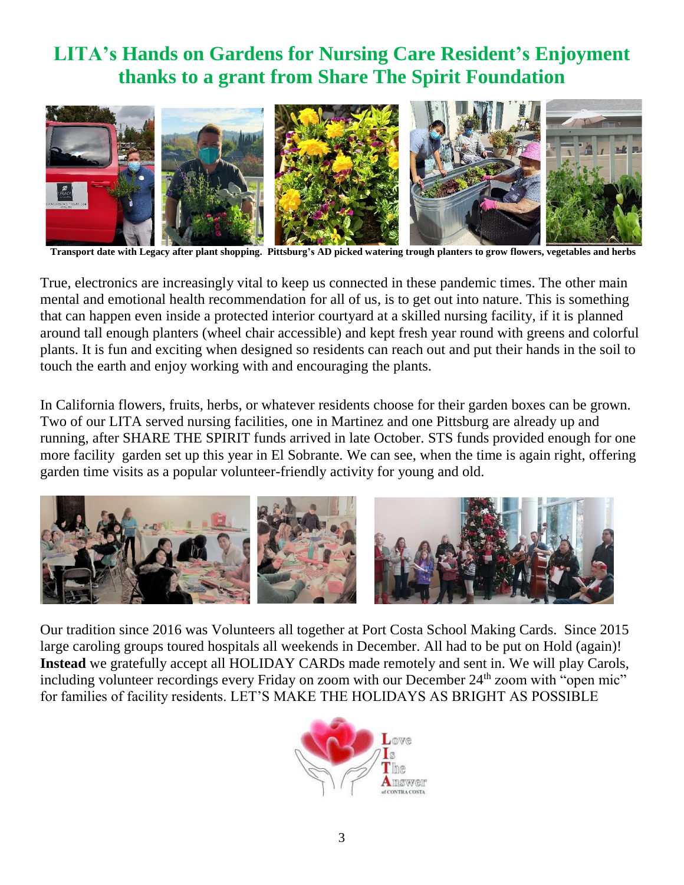# **LITA's Hands on Gardens for Nursing Care Resident's Enjoyment thanks to a grant from Share The Spirit Foundation**



 **Transport date with Legacy after plant shopping. Pittsburg's AD picked watering trough planters to grow flowers, vegetables and herbs <b>***completed picked picked picked picked picked picked pick* 

True, electronics are increasingly vital to keep us connected in these pandemic times. The other main mental and emotional health recommendation for all of us, is to get out into nature. This is something that can happen even inside a protected interior courtyard at a skilled nursing facility, if it is planned around tall enough planters (wheel chair accessible) and kept fresh year round with greens and colorful plants. It is fun and exciting when designed so residents can reach out and put their hands in the soil to touch the earth and enjoy working with and encouraging the plants.

In California flowers, fruits, herbs, or whatever residents choose for their garden boxes can be grown. Two of our LITA served nursing facilities, one in Martinez and one Pittsburg are already up and running, after SHARE THE SPIRIT funds arrived in late October. STS funds provided enough for one more facility garden set up this year in El Sobrante. We can see, when the time is again right, offering garden time visits as a popular volunteer-friendly activity for young and old.



Our tradition since 2016 was Volunteers all together at Port Costa School Making Cards. Since 2015 large caroling groups toured hospitals all weekends in December. All had to be put on Hold (again)! **Instead** we gratefully accept all HOLIDAY CARDs made remotely and sent in. We will play Carols, including volunteer recordings every Friday on zoom with our December 24<sup>th</sup> zoom with "open mic" for families of facility residents. LET'S MAKE THE HOLIDAYS AS BRIGHT AS POSSIBLE